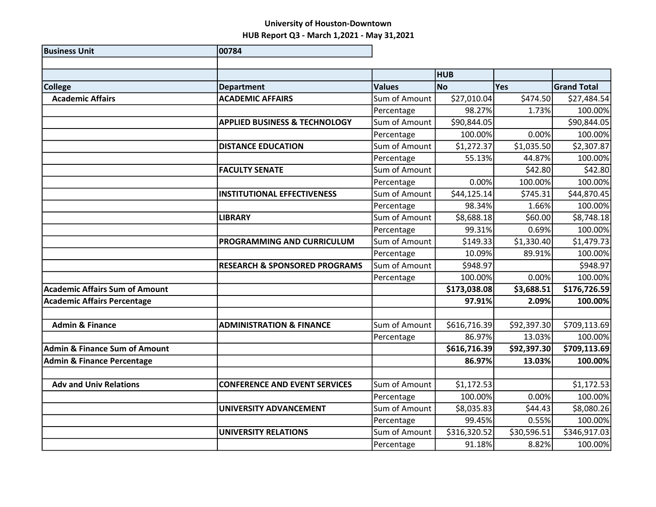| <b>Business Unit</b>                     | 00784                                    |               |              |             |                    |
|------------------------------------------|------------------------------------------|---------------|--------------|-------------|--------------------|
|                                          |                                          |               |              |             |                    |
|                                          |                                          |               | <b>HUB</b>   |             |                    |
| <b>College</b>                           | <b>Department</b>                        | <b>Values</b> | <b>No</b>    | Yes         | <b>Grand Total</b> |
| <b>Academic Affairs</b>                  | <b>ACADEMIC AFFAIRS</b>                  | Sum of Amount | \$27,010.04  | \$474.50    | \$27,484.54        |
|                                          |                                          | Percentage    | 98.27%       | 1.73%       | 100.00%            |
|                                          | <b>APPLIED BUSINESS &amp; TECHNOLOGY</b> | Sum of Amount | \$90,844.05  |             | \$90,844.05        |
|                                          |                                          | Percentage    | 100.00%      | 0.00%       | 100.00%            |
|                                          | <b>DISTANCE EDUCATION</b>                | Sum of Amount | \$1,272.37   | \$1,035.50  | \$2,307.87         |
|                                          |                                          | Percentage    | 55.13%       | 44.87%      | 100.00%            |
|                                          | <b>FACULTY SENATE</b>                    | Sum of Amount |              | \$42.80     | \$42.80            |
|                                          |                                          | Percentage    | 0.00%        | 100.00%     | 100.00%            |
|                                          | <b>INSTITUTIONAL EFFECTIVENESS</b>       | Sum of Amount | \$44,125.14  | \$745.31    | \$44,870.45        |
|                                          |                                          | Percentage    | 98.34%       | 1.66%       | 100.00%            |
|                                          | <b>LIBRARY</b>                           | Sum of Amount | \$8,688.18   | \$60.00     | \$8,748.18         |
|                                          |                                          | Percentage    | 99.31%       | 0.69%       | 100.00%            |
|                                          | PROGRAMMING AND CURRICULUM               | Sum of Amount | \$149.33     | \$1,330.40  | \$1,479.73         |
|                                          |                                          | Percentage    | 10.09%       | 89.91%      | 100.00%            |
|                                          | <b>RESEARCH &amp; SPONSORED PROGRAMS</b> | Sum of Amount | \$948.97     |             | \$948.97           |
|                                          |                                          | Percentage    | 100.00%      | 0.00%       | 100.00%            |
| <b>Academic Affairs Sum of Amount</b>    |                                          |               | \$173,038.08 | \$3,688.51  | \$176,726.59       |
| <b>Academic Affairs Percentage</b>       |                                          |               | 97.91%       | 2.09%       | 100.00%            |
|                                          |                                          |               |              |             |                    |
| <b>Admin &amp; Finance</b>               | <b>ADMINISTRATION &amp; FINANCE</b>      | Sum of Amount | \$616,716.39 | \$92,397.30 | \$709,113.69       |
|                                          |                                          | Percentage    | 86.97%       | 13.03%      | 100.00%            |
| <b>Admin &amp; Finance Sum of Amount</b> |                                          |               | \$616,716.39 | \$92,397.30 | \$709,113.69       |
| <b>Admin &amp; Finance Percentage</b>    |                                          |               | 86.97%       | 13.03%      | 100.00%            |
|                                          |                                          |               |              |             |                    |
| <b>Adv and Univ Relations</b>            | <b>CONFERENCE AND EVENT SERVICES</b>     | Sum of Amount | \$1,172.53   |             | \$1,172.53         |
|                                          |                                          | Percentage    | 100.00%      | 0.00%       | 100.00%            |
|                                          | UNIVERSITY ADVANCEMENT                   | Sum of Amount | \$8,035.83   | \$44.43     | \$8,080.26         |
|                                          |                                          | Percentage    | 99.45%       | 0.55%       | 100.00%            |
|                                          | <b>UNIVERSITY RELATIONS</b>              | Sum of Amount | \$316,320.52 | \$30,596.51 | \$346,917.03       |
|                                          |                                          | Percentage    | 91.18%       | 8.82%       | 100.00%            |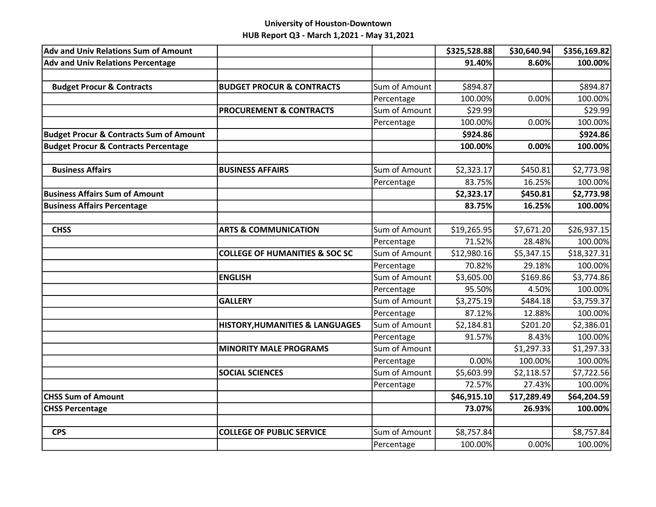| <b>Adv and Univ Relations Sum of Amount</b>        |                                            |               | \$325,528.88 | \$30,640.94] | \$356,169.82 |
|----------------------------------------------------|--------------------------------------------|---------------|--------------|--------------|--------------|
| <b>Adv and Univ Relations Percentage</b>           |                                            |               | 91.40%       | 8.60%        | 100.00%      |
|                                                    |                                            |               |              |              |              |
| <b>Budget Procur &amp; Contracts</b>               | <b>BUDGET PROCUR &amp; CONTRACTS</b>       | Sum of Amount | \$894.87     |              | \$894.87     |
|                                                    |                                            | Percentage    | 100.00%      | 0.00%        | 100.00%      |
|                                                    | <b>PROCUREMENT &amp; CONTRACTS</b>         | Sum of Amount | \$29.99      |              | \$29.99      |
|                                                    |                                            | Percentage    | 100.00%      | 0.00%        | 100.00%      |
| <b>Budget Procur &amp; Contracts Sum of Amount</b> |                                            |               | \$924.86     |              | \$924.86     |
| <b>Budget Procur &amp; Contracts Percentage</b>    |                                            |               | 100.00%      | 0.00%        | 100.00%      |
| <b>Business Affairs</b>                            | <b>BUSINESS AFFAIRS</b>                    | Sum of Amount | \$2,323.17   | \$450.81     | \$2,773.98   |
|                                                    |                                            | Percentage    | 83.75%       | 16.25%       | 100.00%      |
| <b>Business Affairs Sum of Amount</b>              |                                            |               | \$2,323.17   | \$450.81     | \$2,773.98   |
| <b>Business Affairs Percentage</b>                 |                                            |               | 83.75%       | 16.25%       | 100.00%      |
|                                                    |                                            |               |              |              |              |
| <b>CHSS</b>                                        | <b>ARTS &amp; COMMUNICATION</b>            | Sum of Amount | \$19,265.95  | \$7,671.20   | \$26,937.15  |
|                                                    |                                            | Percentage    | 71.52%       | 28.48%       | 100.00%      |
|                                                    | <b>COLLEGE OF HUMANITIES &amp; SOC SC</b>  | Sum of Amount | \$12,980.16  | \$5,347.15   | \$18,327.31  |
|                                                    |                                            | Percentage    | 70.82%       | 29.18%       | 100.00%      |
|                                                    | <b>ENGLISH</b>                             | Sum of Amount | \$3,605.00   | \$169.86     | \$3,774.86   |
|                                                    |                                            | Percentage    | 95.50%       | 4.50%        | 100.00%      |
|                                                    | <b>GALLERY</b>                             | Sum of Amount | \$3,275.19   | \$484.18     | \$3,759.37   |
|                                                    |                                            | Percentage    | 87.12%       | 12.88%       | 100.00%      |
|                                                    | <b>HISTORY, HUMANITIES &amp; LANGUAGES</b> | Sum of Amount | \$2,184.81   | \$201.20     | \$2,386.01   |
|                                                    |                                            | Percentage    | 91.57%       | 8.43%        | 100.00%      |
|                                                    | <b>MINORITY MALE PROGRAMS</b>              | Sum of Amount |              | \$1,297.33   | \$1,297.33   |
|                                                    |                                            | Percentage    | 0.00%        | 100.00%      | 100.00%      |
|                                                    | <b>SOCIAL SCIENCES</b>                     | Sum of Amount | \$5,603.99   | \$2,118.57   | \$7,722.56   |
|                                                    |                                            | Percentage    | 72.57%       | 27.43%       | 100.00%      |
| <b>CHSS Sum of Amount</b>                          |                                            |               | \$46,915.10  | \$17,289.49  | \$64,204.59  |
| <b>CHSS Percentage</b>                             |                                            |               | 73.07%       | 26.93%       | 100.00%      |
|                                                    |                                            |               |              |              |              |
| <b>CPS</b>                                         | <b>COLLEGE OF PUBLIC SERVICE</b>           | Sum of Amount | \$8,757.84   |              | \$8,757.84   |
|                                                    |                                            | Percentage    | 100.00%      | 0.00%        | 100.00%      |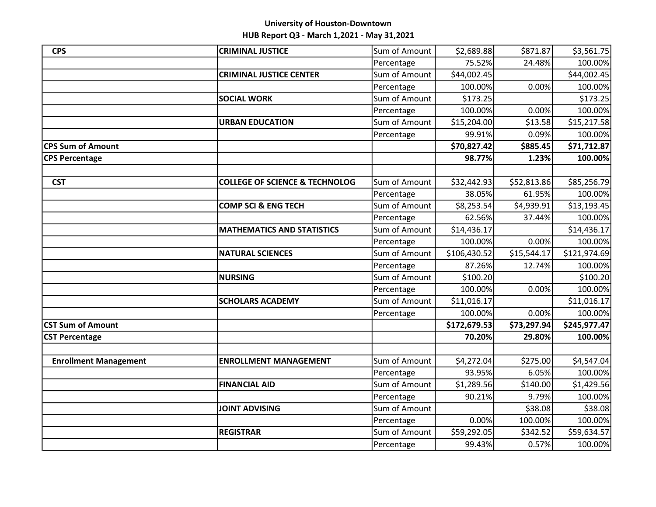| <b>CPS</b>                   | <b>CRIMINAL JUSTICE</b>                   | Sum of Amount | \$2,689.88   | \$871.87    | \$3,561.75   |
|------------------------------|-------------------------------------------|---------------|--------------|-------------|--------------|
|                              |                                           | Percentage    | 75.52%       | 24.48%      | 100.00%      |
|                              | <b>CRIMINAL JUSTICE CENTER</b>            | Sum of Amount | \$44,002.45  |             | \$44,002.45  |
|                              |                                           | Percentage    | 100.00%      | 0.00%       | 100.00%      |
|                              | <b>SOCIAL WORK</b>                        | Sum of Amount | \$173.25     |             | \$173.25     |
|                              |                                           | Percentage    | 100.00%      | 0.00%       | 100.00%      |
|                              | <b>URBAN EDUCATION</b>                    | Sum of Amount | \$15,204.00  | \$13.58     | \$15,217.58  |
|                              |                                           | Percentage    | 99.91%       | 0.09%       | 100.00%      |
| <b>CPS Sum of Amount</b>     |                                           |               | \$70,827.42  | \$885.45    | \$71,712.87  |
| <b>CPS Percentage</b>        |                                           |               | 98.77%       | 1.23%       | 100.00%      |
|                              |                                           |               |              |             |              |
| <b>CST</b>                   | <b>COLLEGE OF SCIENCE &amp; TECHNOLOG</b> | Sum of Amount | \$32,442.93  | \$52,813.86 | \$85,256.79  |
|                              |                                           | Percentage    | 38.05%       | 61.95%      | 100.00%      |
|                              | <b>COMP SCI &amp; ENG TECH</b>            | Sum of Amount | \$8,253.54   | \$4,939.91  | \$13,193.45  |
|                              |                                           | Percentage    | 62.56%       | 37.44%      | 100.00%      |
|                              | <b>MATHEMATICS AND STATISTICS</b>         | Sum of Amount | \$14,436.17  |             | \$14,436.17  |
|                              |                                           | Percentage    | 100.00%      | 0.00%       | 100.00%      |
|                              | <b>NATURAL SCIENCES</b>                   | Sum of Amount | \$106,430.52 | \$15,544.17 | \$121,974.69 |
|                              |                                           | Percentage    | 87.26%       | 12.74%      | 100.00%      |
|                              | <b>NURSING</b>                            | Sum of Amount | \$100.20     |             | \$100.20     |
|                              |                                           | Percentage    | 100.00%      | 0.00%       | 100.00%      |
|                              | <b>SCHOLARS ACADEMY</b>                   | Sum of Amount | \$11,016.17  |             | \$11,016.17  |
|                              |                                           | Percentage    | 100.00%      | 0.00%       | 100.00%      |
| <b>CST Sum of Amount</b>     |                                           |               | \$172,679.53 | \$73,297.94 | \$245,977.47 |
| <b>CST Percentage</b>        |                                           |               | 70.20%       | 29.80%      | 100.00%      |
|                              |                                           |               |              |             |              |
| <b>Enrollment Management</b> | <b>ENROLLMENT MANAGEMENT</b>              | Sum of Amount | \$4,272.04   | \$275.00    | \$4,547.04   |
|                              |                                           | Percentage    | 93.95%       | 6.05%       | 100.00%      |
|                              | <b>FINANCIAL AID</b>                      | Sum of Amount | \$1,289.56   | \$140.00    | \$1,429.56   |
|                              |                                           | Percentage    | 90.21%       | 9.79%       | 100.00%      |
|                              | <b>JOINT ADVISING</b>                     | Sum of Amount |              | \$38.08     | \$38.08      |
|                              |                                           | Percentage    | 0.00%        | 100.00%     | 100.00%      |
|                              | <b>REGISTRAR</b>                          | Sum of Amount | \$59,292.05  | \$342.52    | \$59,634.57  |
|                              |                                           | Percentage    | 99.43%       | 0.57%       | 100.00%      |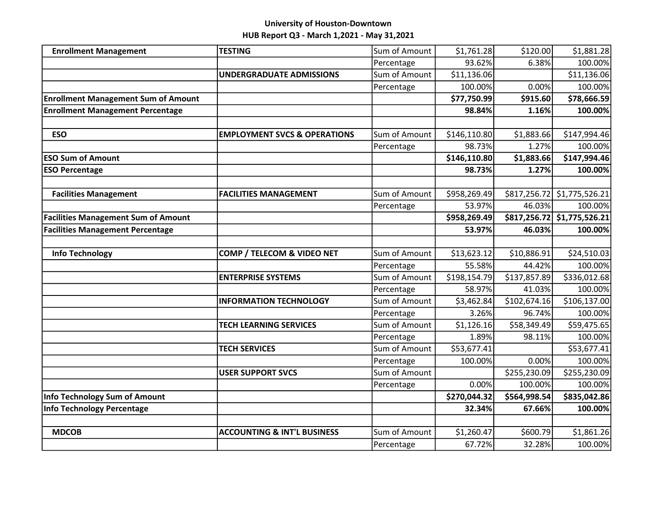| <b>Enrollment Management</b>               | <b>TESTING</b>                          | Sum of Amount | \$1,761.28   | \$120.00     | \$1,881.28                  |
|--------------------------------------------|-----------------------------------------|---------------|--------------|--------------|-----------------------------|
|                                            |                                         | Percentage    | 93.62%       | 6.38%        | 100.00%                     |
|                                            | <b>UNDERGRADUATE ADMISSIONS</b>         | Sum of Amount | \$11,136.06  |              | \$11,136.06                 |
|                                            |                                         | Percentage    | 100.00%      | 0.00%        | 100.00%                     |
| <b>Enrollment Management Sum of Amount</b> |                                         |               | \$77,750.99  | \$915.60     | \$78,666.59                 |
| <b>Enrollment Management Percentage</b>    |                                         |               | 98.84%       | 1.16%        | 100.00%                     |
|                                            |                                         |               |              |              |                             |
| <b>ESO</b>                                 | <b>EMPLOYMENT SVCS &amp; OPERATIONS</b> | Sum of Amount | \$146,110.80 | \$1,883.66   | \$147,994.46                |
|                                            |                                         | Percentage    | 98.73%       | 1.27%        | 100.00%                     |
| <b>ESO Sum of Amount</b>                   |                                         |               | \$146,110.80 | \$1,883.66   | \$147,994.46                |
| <b>ESO Percentage</b>                      |                                         |               | 98.73%       | 1.27%        | 100.00%                     |
|                                            |                                         |               |              |              |                             |
| <b>Facilities Management</b>               | <b>FACILITIES MANAGEMENT</b>            | Sum of Amount | \$958,269.49 |              | \$817,256.72 \$1,775,526.21 |
|                                            |                                         | Percentage    | 53.97%       | 46.03%       | 100.00%                     |
| <b>Facilities Management Sum of Amount</b> |                                         |               | \$958,269.49 |              | \$817,256.72 \$1,775,526.21 |
| <b>Facilities Management Percentage</b>    |                                         |               | 53.97%       | 46.03%       | 100.00%                     |
|                                            |                                         |               |              |              |                             |
| <b>Info Technology</b>                     | COMP / TELECOM & VIDEO NET              | Sum of Amount | \$13,623.12  | \$10,886.91  | \$24,510.03                 |
|                                            |                                         | Percentage    | 55.58%       | 44.42%       | 100.00%                     |
|                                            | <b>ENTERPRISE SYSTEMS</b>               | Sum of Amount | \$198,154.79 | \$137,857.89 | \$336,012.68                |
|                                            |                                         | Percentage    | 58.97%       | 41.03%       | 100.00%                     |
|                                            | <b>INFORMATION TECHNOLOGY</b>           | Sum of Amount | \$3,462.84   | \$102,674.16 | \$106,137.00                |
|                                            |                                         | Percentage    | 3.26%        | 96.74%       | 100.00%                     |
|                                            | <b>TECH LEARNING SERVICES</b>           | Sum of Amount | \$1,126.16   | \$58,349.49  | \$59,475.65                 |
|                                            |                                         | Percentage    | 1.89%        | 98.11%       | 100.00%                     |
|                                            | <b>TECH SERVICES</b>                    | Sum of Amount | \$53,677.41  |              | \$53,677.41                 |
|                                            |                                         | Percentage    | 100.00%      | 0.00%        | 100.00%                     |
|                                            | <b>USER SUPPORT SVCS</b>                | Sum of Amount |              | \$255,230.09 | \$255,230.09                |
|                                            |                                         | Percentage    | 0.00%        | 100.00%      | 100.00%                     |
| <b>Info Technology Sum of Amount</b>       |                                         |               | \$270,044.32 | \$564,998.54 | \$835,042.86                |
| <b>Info Technology Percentage</b>          |                                         |               | 32.34%       | 67.66%       | 100.00%                     |
|                                            |                                         |               |              |              |                             |
| <b>MDCOB</b>                               | <b>ACCOUNTING &amp; INT'L BUSINESS</b>  | Sum of Amount | \$1,260.47   | \$600.79     | \$1,861.26                  |
|                                            |                                         | Percentage    | 67.72%       | 32.28%       | 100.00%                     |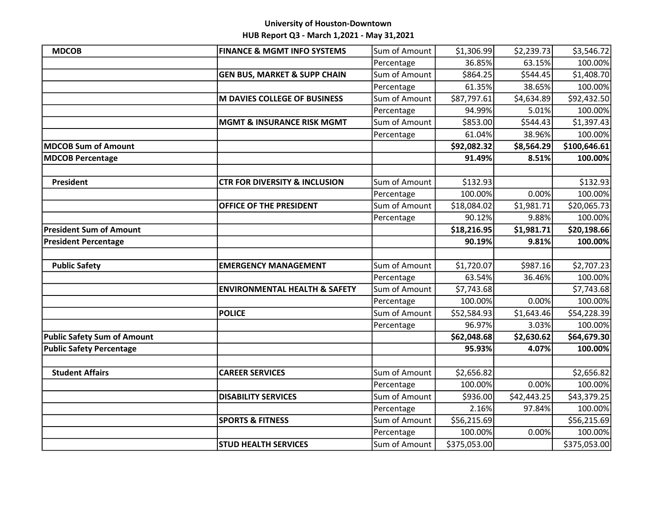| <b>MDCOB</b>                       | <b>FINANCE &amp; MGMT INFO SYSTEMS</b>   | Sum of Amount | \$1,306.99             | \$2,239.73  | \$3,546.72   |
|------------------------------------|------------------------------------------|---------------|------------------------|-------------|--------------|
|                                    |                                          | Percentage    | 36.85%                 | 63.15%      | 100.00%      |
|                                    | <b>GEN BUS, MARKET &amp; SUPP CHAIN</b>  | Sum of Amount | \$864.25               | \$544.45    | \$1,408.70   |
|                                    |                                          | Percentage    | 61.35%                 | 38.65%      | 100.00%      |
|                                    | M DAVIES COLLEGE OF BUSINESS             | Sum of Amount | \$87,797.61            | \$4,634.89  | \$92,432.50  |
|                                    |                                          | Percentage    | 94.99%                 | 5.01%       | 100.00%      |
|                                    | <b>MGMT &amp; INSURANCE RISK MGMT</b>    | Sum of Amount | \$853.00               | \$544.43    | \$1,397.43   |
|                                    |                                          | Percentage    | 61.04%                 | 38.96%      | 100.00%      |
| MDCOB Sum of Amount                |                                          |               | \$92,082.32            | \$8,564.29  | \$100,646.61 |
| <b>MDCOB Percentage</b>            |                                          |               | 91.49%                 | 8.51%       | 100.00%      |
|                                    |                                          |               |                        |             |              |
| <b>President</b>                   | <b>CTR FOR DIVERSITY &amp; INCLUSION</b> | Sum of Amount | \$132.93               |             | \$132.93     |
|                                    |                                          | Percentage    | 100.00%                | 0.00%       | 100.00%      |
|                                    | OFFICE OF THE PRESIDENT                  | Sum of Amount | \$18,084.02            | \$1,981.71  | \$20,065.73  |
|                                    |                                          | Percentage    | 90.12%                 | 9.88%       | 100.00%      |
| <b>President Sum of Amount</b>     |                                          |               | \$18,216.95            | \$1,981.71  | \$20,198.66  |
| <b>President Percentage</b>        |                                          |               | 90.19%                 | 9.81%       | 100.00%      |
|                                    |                                          |               |                        |             |              |
| <b>Public Safety</b>               | <b>EMERGENCY MANAGEMENT</b>              | Sum of Amount | \$1,720.07             | \$987.16    | \$2,707.23   |
|                                    |                                          | Percentage    | 63.54%                 | 36.46%      | 100.00%      |
|                                    | <b>ENVIRONMENTAL HEALTH &amp; SAFETY</b> | Sum of Amount | $\overline{$}7,743.68$ |             | \$7,743.68   |
|                                    |                                          | Percentage    | 100.00%                | 0.00%       | 100.00%      |
|                                    | <b>POLICE</b>                            | Sum of Amount | \$52,584.93            | \$1,643.46  | \$54,228.39  |
|                                    |                                          | Percentage    | 96.97%                 | 3.03%       | 100.00%      |
| <b>Public Safety Sum of Amount</b> |                                          |               | \$62,048.68            | \$2,630.62  | \$64,679.30  |
| <b>Public Safety Percentage</b>    |                                          |               | 95.93%                 | 4.07%       | 100.00%      |
|                                    |                                          |               |                        |             |              |
| <b>Student Affairs</b>             | <b>CAREER SERVICES</b>                   | Sum of Amount | \$2,656.82             |             | \$2,656.82   |
|                                    |                                          | Percentage    | 100.00%                | 0.00%       | 100.00%      |
|                                    | <b>DISABILITY SERVICES</b>               | Sum of Amount | \$936.00               | \$42,443.25 | \$43,379.25  |
|                                    |                                          | Percentage    | 2.16%                  | 97.84%      | 100.00%      |
|                                    | <b>SPORTS &amp; FITNESS</b>              | Sum of Amount | \$56,215.69            |             | \$56,215.69  |
|                                    |                                          | Percentage    | 100.00%                | 0.00%       | 100.00%      |
|                                    | <b>STUD HEALTH SERVICES</b>              | Sum of Amount | \$375,053.00           |             | \$375,053.00 |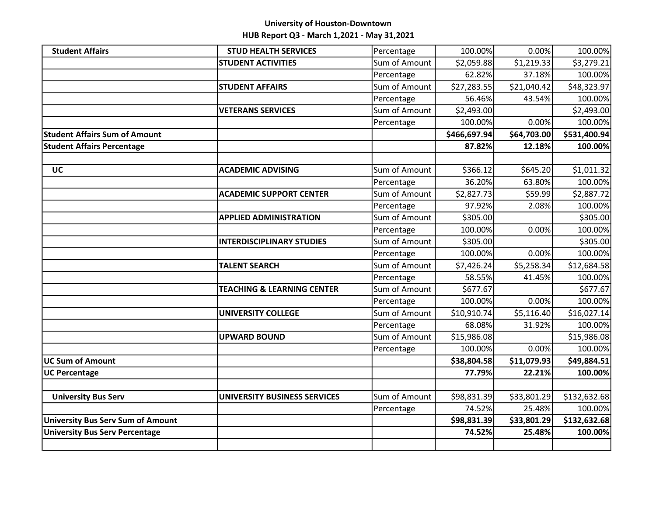| <b>Student Affairs</b>                   | <b>STUD HEALTH SERVICES</b>           | Percentage    | 100.00%      | 0.00%       | 100.00%      |
|------------------------------------------|---------------------------------------|---------------|--------------|-------------|--------------|
|                                          | <b>STUDENT ACTIVITIES</b>             | Sum of Amount | \$2,059.88   | \$1,219.33  | \$3,279.21   |
|                                          |                                       | Percentage    | 62.82%       | 37.18%      | 100.00%      |
|                                          | <b>STUDENT AFFAIRS</b>                | Sum of Amount | \$27,283.55  | \$21,040.42 | \$48,323.97  |
|                                          |                                       | Percentage    | 56.46%       | 43.54%      | 100.00%      |
|                                          | <b>VETERANS SERVICES</b>              | Sum of Amount | \$2,493.00   |             | \$2,493.00   |
|                                          |                                       | Percentage    | 100.00%      | 0.00%       | 100.00%      |
| <b>Student Affairs Sum of Amount</b>     |                                       |               | \$466,697.94 | \$64,703.00 | \$531,400.94 |
| <b>Student Affairs Percentage</b>        |                                       |               | 87.82%       | 12.18%      | 100.00%      |
|                                          |                                       |               |              |             |              |
| <b>UC</b>                                | <b>ACADEMIC ADVISING</b>              | Sum of Amount | \$366.12     | \$645.20    | \$1,011.32   |
|                                          |                                       | Percentage    | 36.20%       | 63.80%      | 100.00%      |
|                                          | <b>ACADEMIC SUPPORT CENTER</b>        | Sum of Amount | \$2,827.73   | \$59.99     | \$2,887.72   |
|                                          |                                       | Percentage    | 97.92%       | 2.08%       | 100.00%      |
|                                          | <b>APPLIED ADMINISTRATION</b>         | Sum of Amount | \$305.00     |             | \$305.00     |
|                                          |                                       | Percentage    | 100.00%      | 0.00%       | 100.00%      |
|                                          | <b>INTERDISCIPLINARY STUDIES</b>      | Sum of Amount | \$305.00     |             | \$305.00     |
|                                          |                                       | Percentage    | 100.00%      | 0.00%       | 100.00%      |
|                                          | <b>TALENT SEARCH</b>                  | Sum of Amount | \$7,426.24   | \$5,258.34  | \$12,684.58  |
|                                          |                                       | Percentage    | 58.55%       | 41.45%      | 100.00%      |
|                                          | <b>TEACHING &amp; LEARNING CENTER</b> | Sum of Amount | \$677.67     |             | \$677.67     |
|                                          |                                       | Percentage    | 100.00%      | 0.00%       | 100.00%      |
|                                          | <b>UNIVERSITY COLLEGE</b>             | Sum of Amount | \$10,910.74  | \$5,116.40  | \$16,027.14  |
|                                          |                                       | Percentage    | 68.08%       | 31.92%      | 100.00%      |
|                                          | <b>UPWARD BOUND</b>                   | Sum of Amount | \$15,986.08  |             | \$15,986.08  |
|                                          |                                       | Percentage    | 100.00%      | 0.00%       | 100.00%      |
| <b>UC Sum of Amount</b>                  |                                       |               | \$38,804.58  | \$11,079.93 | \$49,884.51  |
| <b>UC Percentage</b>                     |                                       |               | 77.79%       | 22.21%      | 100.00%      |
|                                          |                                       |               |              |             |              |
| <b>University Bus Serv</b>               | UNIVERSITY BUSINESS SERVICES          | Sum of Amount | \$98,831.39  | \$33,801.29 | \$132,632.68 |
|                                          |                                       | Percentage    | 74.52%       | 25.48%      | 100.00%      |
| <b>University Bus Serv Sum of Amount</b> |                                       |               | \$98,831.39  | \$33,801.29 | \$132,632.68 |
| <b>University Bus Serv Percentage</b>    |                                       |               | 74.52%       | 25.48%      | 100.00%      |
|                                          |                                       |               |              |             |              |